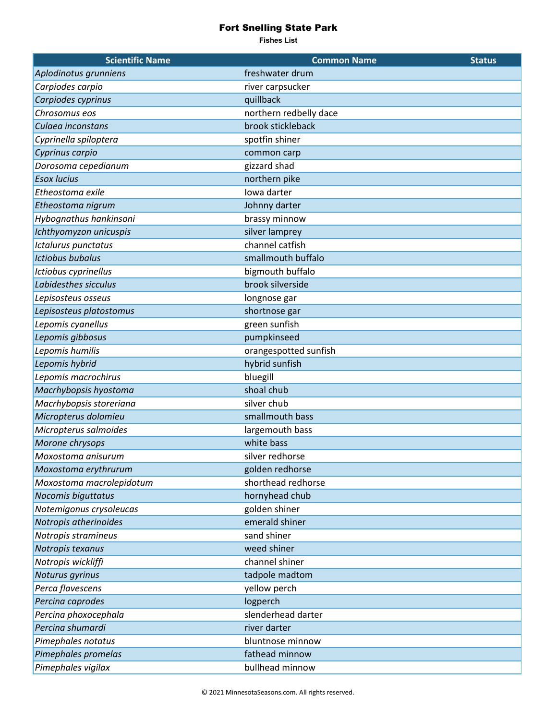## Fort Snelling State Park

**Fishes List**

| <b>Scientific Name</b>   | <b>Common Name</b>     | <b>Status</b> |
|--------------------------|------------------------|---------------|
| Aplodinotus grunniens    | freshwater drum        |               |
| Carpiodes carpio         | river carpsucker       |               |
| Carpiodes cyprinus       | quillback              |               |
| Chrosomus eos            | northern redbelly dace |               |
| Culaea inconstans        | brook stickleback      |               |
| Cyprinella spiloptera    | spotfin shiner         |               |
| Cyprinus carpio          | common carp            |               |
| Dorosoma cepedianum      | gizzard shad           |               |
| <b>Esox lucius</b>       | northern pike          |               |
| Etheostoma exile         | Iowa darter            |               |
| Etheostoma nigrum        | Johnny darter          |               |
| Hybognathus hankinsoni   | brassy minnow          |               |
| Ichthyomyzon unicuspis   | silver lamprey         |               |
| Ictalurus punctatus      | channel catfish        |               |
| <b>Ictiobus bubalus</b>  | smallmouth buffalo     |               |
| Ictiobus cyprinellus     | bigmouth buffalo       |               |
| Labidesthes sicculus     | brook silverside       |               |
| Lepisosteus osseus       | longnose gar           |               |
| Lepisosteus platostomus  | shortnose gar          |               |
| Lepomis cyanellus        | green sunfish          |               |
| Lepomis gibbosus         | pumpkinseed            |               |
| Lepomis humilis          | orangespotted sunfish  |               |
| Lepomis hybrid           | hybrid sunfish         |               |
| Lepomis macrochirus      | bluegill               |               |
| Macrhybopsis hyostoma    | shoal chub             |               |
| Macrhybopsis storeriana  | silver chub            |               |
| Micropterus dolomieu     | smallmouth bass        |               |
| Micropterus salmoides    | largemouth bass        |               |
| Morone chrysops          | white bass             |               |
| Moxostoma anisurum       | silver redhorse        |               |
| Moxostoma erythrurum     | golden redhorse        |               |
| Moxostoma macrolepidotum | shorthead redhorse     |               |
| Nocomis biguttatus       | hornyhead chub         |               |
| Notemigonus crysoleucas  | golden shiner          |               |
| Notropis atherinoides    | emerald shiner         |               |
| Notropis stramineus      | sand shiner            |               |
| Notropis texanus         | weed shiner            |               |
| Notropis wickliffi       | channel shiner         |               |
| Noturus gyrinus          | tadpole madtom         |               |
| Perca flavescens         | yellow perch           |               |
| Percina caprodes         | logperch               |               |
| Percina phoxocephala     | slenderhead darter     |               |
| Percina shumardi         | river darter           |               |
| Pimephales notatus       | bluntnose minnow       |               |
| Pimephales promelas      | fathead minnow         |               |
| Pimephales vigilax       | bullhead minnow        |               |